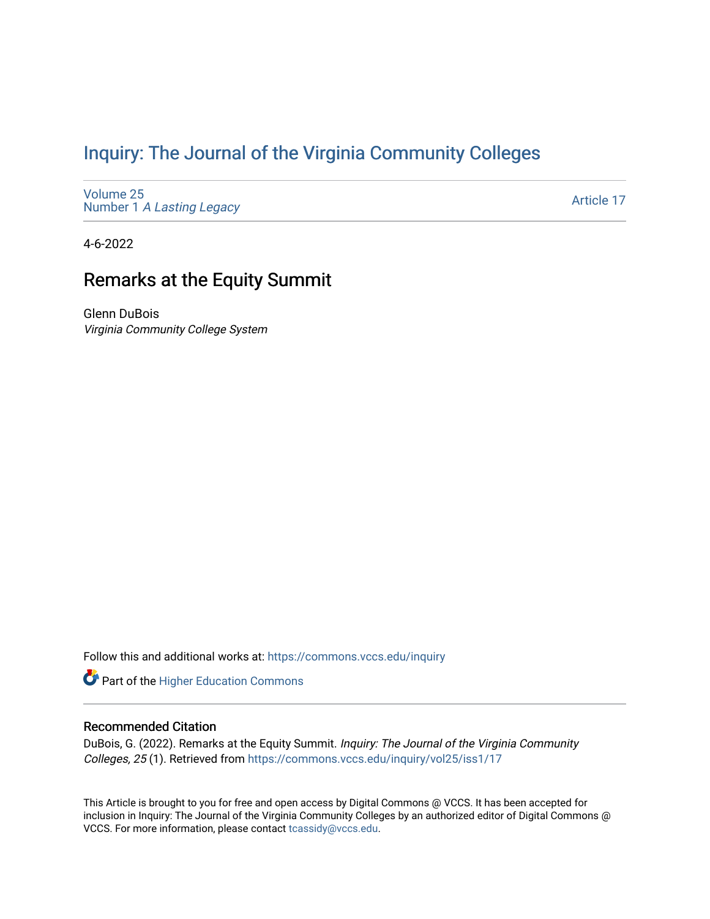# [Inquiry: The Journal of the Virginia Community Colleges](https://commons.vccs.edu/inquiry)

[Volume 25](https://commons.vccs.edu/inquiry/vol25) Number 1 [A Lasting Legacy](https://commons.vccs.edu/inquiry/vol25/iss1)

[Article 17](https://commons.vccs.edu/inquiry/vol25/iss1/17) 

4-6-2022

# Remarks at the Equity Summit

Glenn DuBois Virginia Community College System

Follow this and additional works at: [https://commons.vccs.edu/inquiry](https://commons.vccs.edu/inquiry?utm_source=commons.vccs.edu%2Finquiry%2Fvol25%2Fiss1%2F17&utm_medium=PDF&utm_campaign=PDFCoverPages)

Part of the [Higher Education Commons](http://network.bepress.com/hgg/discipline/1245?utm_source=commons.vccs.edu%2Finquiry%2Fvol25%2Fiss1%2F17&utm_medium=PDF&utm_campaign=PDFCoverPages) 

#### Recommended Citation

DuBois, G. (2022). Remarks at the Equity Summit. Inquiry: The Journal of the Virginia Community Colleges, 25 (1). Retrieved from [https://commons.vccs.edu/inquiry/vol25/iss1/17](https://commons.vccs.edu/inquiry/vol25/iss1/17?utm_source=commons.vccs.edu%2Finquiry%2Fvol25%2Fiss1%2F17&utm_medium=PDF&utm_campaign=PDFCoverPages)

This Article is brought to you for free and open access by Digital Commons @ VCCS. It has been accepted for inclusion in Inquiry: The Journal of the Virginia Community Colleges by an authorized editor of Digital Commons @ VCCS. For more information, please contact [tcassidy@vccs.edu](mailto:tcassidy@vccs.edu).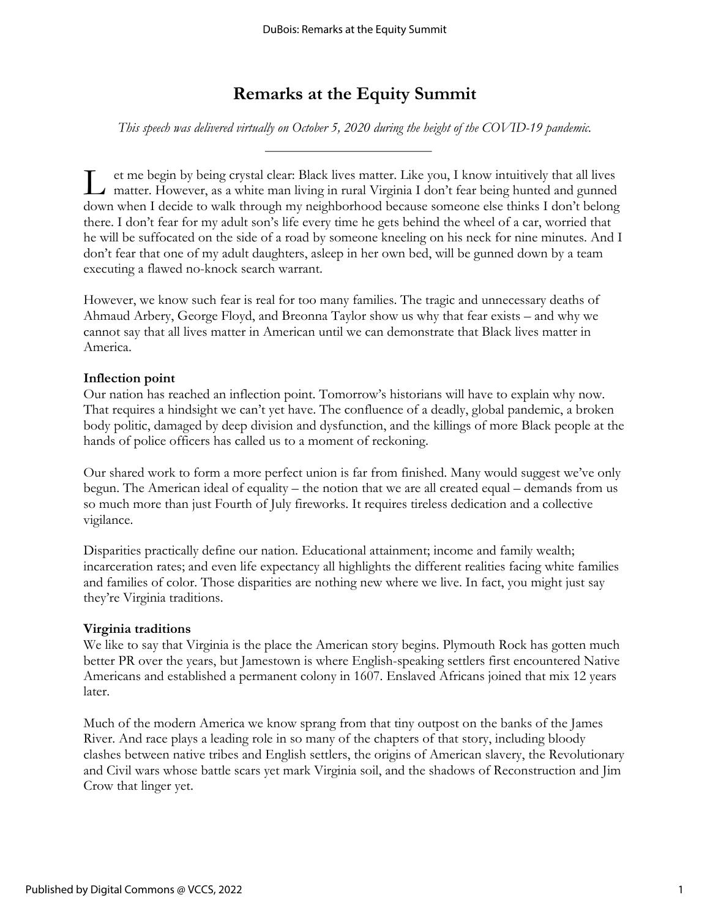# **Remarks at the Equity Summit**

*This speech was delivered virtually on October 5, 2020 during the height of the COVID-19 pandemic.*

et me begin by being crystal clear: Black lives matter. Like you, I know intuitively that all lives I et me begin by being crystal clear: Black lives matter. Like you, I know intuitively that all lives matter. However, as a white man living in rural Virginia I don't fear being hunted and gunned down when I decide to walk through my neighborhood because someone else thinks I don't belong there. I don't fear for my adult son's life every time he gets behind the wheel of a car, worried that he will be suffocated on the side of a road by someone kneeling on his neck for nine minutes. And I don't fear that one of my adult daughters, asleep in her own bed, will be gunned down by a team executing a flawed no-knock search warrant.

However, we know such fear is real for too many families. The tragic and unnecessary deaths of Ahmaud Arbery, George Floyd, and Breonna Taylor show us why that fear exists – and why we cannot say that all lives matter in American until we can demonstrate that Black lives matter in America.

#### **Inflection point**

Our nation has reached an inflection point. Tomorrow's historians will have to explain why now. That requires a hindsight we can't yet have. The confluence of a deadly, global pandemic, a broken body politic, damaged by deep division and dysfunction, and the killings of more Black people at the hands of police officers has called us to a moment of reckoning.

Our shared work to form a more perfect union is far from finished. Many would suggest we've only begun. The American ideal of equality – the notion that we are all created equal – demands from us so much more than just Fourth of July fireworks. It requires tireless dedication and a collective vigilance.

Disparities practically define our nation. Educational attainment; income and family wealth; incarceration rates; and even life expectancy all highlights the different realities facing white families and families of color. Those disparities are nothing new where we live. In fact, you might just say they're Virginia traditions.

#### **Virginia traditions**

We like to say that Virginia is the place the American story begins. Plymouth Rock has gotten much better PR over the years, but Jamestown is where English-speaking settlers first encountered Native Americans and established a permanent colony in 1607. Enslaved Africans joined that mix 12 years later.

Much of the modern America we know sprang from that tiny outpost on the banks of the James River. And race plays a leading role in so many of the chapters of that story, including bloody clashes between native tribes and English settlers, the origins of American slavery, the Revolutionary and Civil wars whose battle scars yet mark Virginia soil, and the shadows of Reconstruction and Jim Crow that linger yet.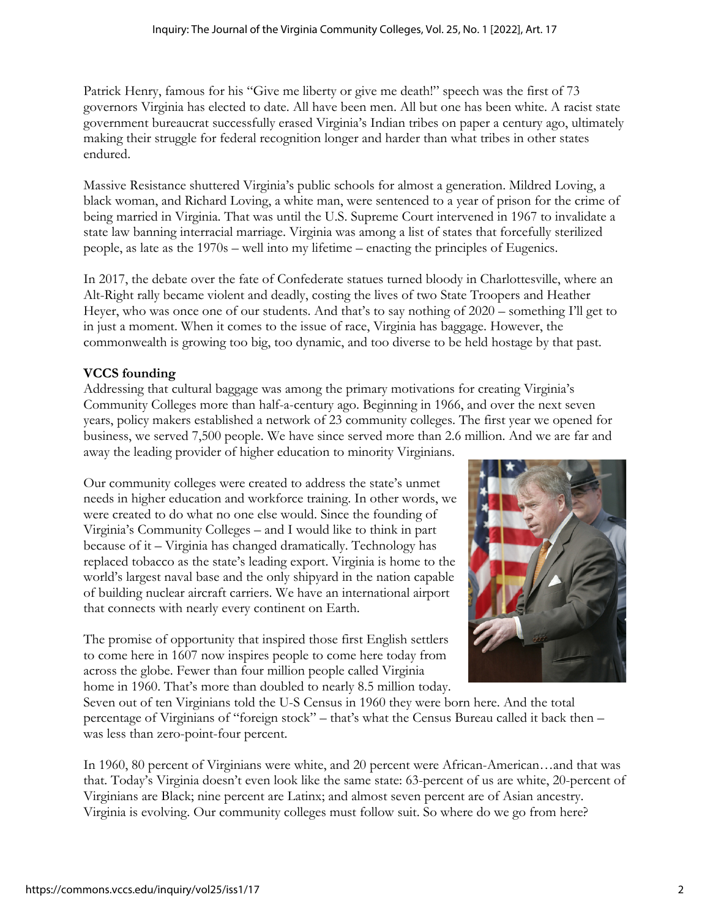Patrick Henry, famous for his "Give me liberty or give me death!" speech was the first of 73 governors Virginia has elected to date. All have been men. All but one has been white. A racist state government bureaucrat successfully erased Virginia's Indian tribes on paper a century ago, ultimately making their struggle for federal recognition longer and harder than what tribes in other states endured.

Massive Resistance shuttered Virginia's public schools for almost a generation. Mildred Loving, a black woman, and Richard Loving, a white man, were sentenced to a year of prison for the crime of being married in Virginia. That was until the U.S. Supreme Court intervened in 1967 to invalidate a state law banning interracial marriage. Virginia was among a list of states that forcefully sterilized people, as late as the 1970s – well into my lifetime – enacting the principles of Eugenics.

In 2017, the debate over the fate of Confederate statues turned bloody in Charlottesville, where an Alt-Right rally became violent and deadly, costing the lives of two State Troopers and Heather Heyer, who was once one of our students. And that's to say nothing of 2020 – something I'll get to in just a moment. When it comes to the issue of race, Virginia has baggage. However, the commonwealth is growing too big, too dynamic, and too diverse to be held hostage by that past.

## **VCCS founding**

Addressing that cultural baggage was among the primary motivations for creating Virginia's Community Colleges more than half-a-century ago. Beginning in 1966, and over the next seven years, policy makers established a network of 23 community colleges. The first year we opened for business, we served 7,500 people. We have since served more than 2.6 million. And we are far and away the leading provider of higher education to minority Virginians.

Our community colleges were created to address the state's unmet needs in higher education and workforce training. In other words, we were created to do what no one else would. Since the founding of Virginia's Community Colleges – and I would like to think in part because of it – Virginia has changed dramatically. Technology has replaced tobacco as the state's leading export. Virginia is home to the world's largest naval base and the only shipyard in the nation capable of building nuclear aircraft carriers. We have an international airport that connects with nearly every continent on Earth.

The promise of opportunity that inspired those first English settlers to come here in 1607 now inspires people to come here today from across the globe. Fewer than four million people called Virginia home in 1960. That's more than doubled to nearly 8.5 million today.



Seven out of ten Virginians told the U-S Census in 1960 they were born here. And the total percentage of Virginians of "foreign stock" – that's what the Census Bureau called it back then – was less than zero-point-four percent.

In 1960, 80 percent of Virginians were white, and 20 percent were African-American…and that was that. Today's Virginia doesn't even look like the same state: 63-percent of us are white, 20-percent of Virginians are Black; nine percent are Latinx; and almost seven percent are of Asian ancestry. Virginia is evolving. Our community colleges must follow suit. So where do we go from here?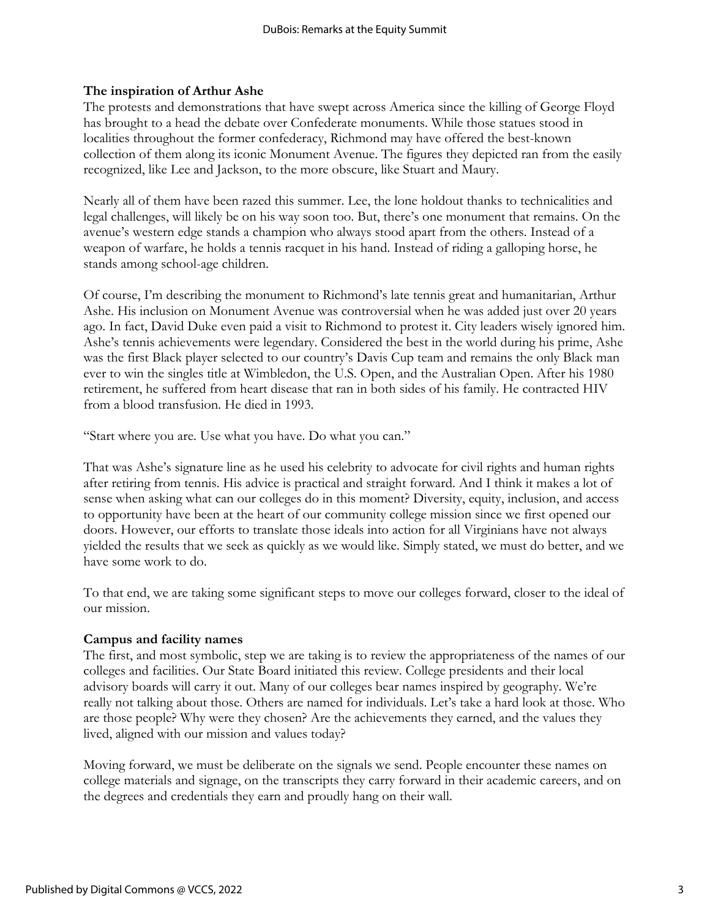### **The inspiration of Arthur Ashe**

The protests and demonstrations that have swept across America since the killing of George Floyd has brought to a head the debate over Confederate monuments. While those statues stood in localities throughout the former confederacy, Richmond may have offered the best-known collection of them along its iconic Monument Avenue. The figures they depicted ran from the easily recognized, like Lee and Jackson, to the more obscure, like Stuart and Maury.

Nearly all of them have been razed this summer. Lee, the lone holdout thanks to technicalities and legal challenges, will likely be on his way soon too. But, there's one monument that remains. On the avenue's western edge stands a champion who always stood apart from the others. Instead of a weapon of warfare, he holds a tennis racquet in his hand. Instead of riding a galloping horse, he stands among school-age children.

Of course, I'm describing the monument to Richmond's late tennis great and humanitarian, Arthur Ashe. His inclusion on Monument Avenue was controversial when he was added just over 20 years ago. In fact, David Duke even paid a visit to Richmond to protest it. City leaders wisely ignored him. Ashe's tennis achievements were legendary. Considered the best in the world during his prime, Ashe was the first Black player selected to our country's Davis Cup team and remains the only Black man ever to win the singles title at Wimbledon, the U.S. Open, and the Australian Open. After his 1980 retirement, he suffered from heart disease that ran in both sides of his family. He contracted HIV from a blood transfusion. He died in 1993.

"Start where you are. Use what you have. Do what you can."

That was Ashe's signature line as he used his celebrity to advocate for civil rights and human rights after retiring from tennis. His advice is practical and straight forward. And I think it makes a lot of sense when asking what can our colleges do in this moment? Diversity, equity, inclusion, and access to opportunity have been at the heart of our community college mission since we first opened our doors. However, our efforts to translate those ideals into action for all Virginians have not always yielded the results that we seek as quickly as we would like. Simply stated, we must do better, and we have some work to do.

To that end, we are taking some significant steps to move our colleges forward, closer to the ideal of our mission.

#### **Campus and facility names**

The first, and most symbolic, step we are taking is to review the appropriateness of the names of our colleges and facilities. Our State Board initiated this review. College presidents and their local advisory boards will carry it out. Many of our colleges bear names inspired by geography. We're really not talking about those. Others are named for individuals. Let's take a hard look at those. Who are those people? Why were they chosen? Are the achievements they earned, and the values they lived, aligned with our mission and values today?

Moving forward, we must be deliberate on the signals we send. People encounter these names on college materials and signage, on the transcripts they carry forward in their academic careers, and on the degrees and credentials they earn and proudly hang on their wall.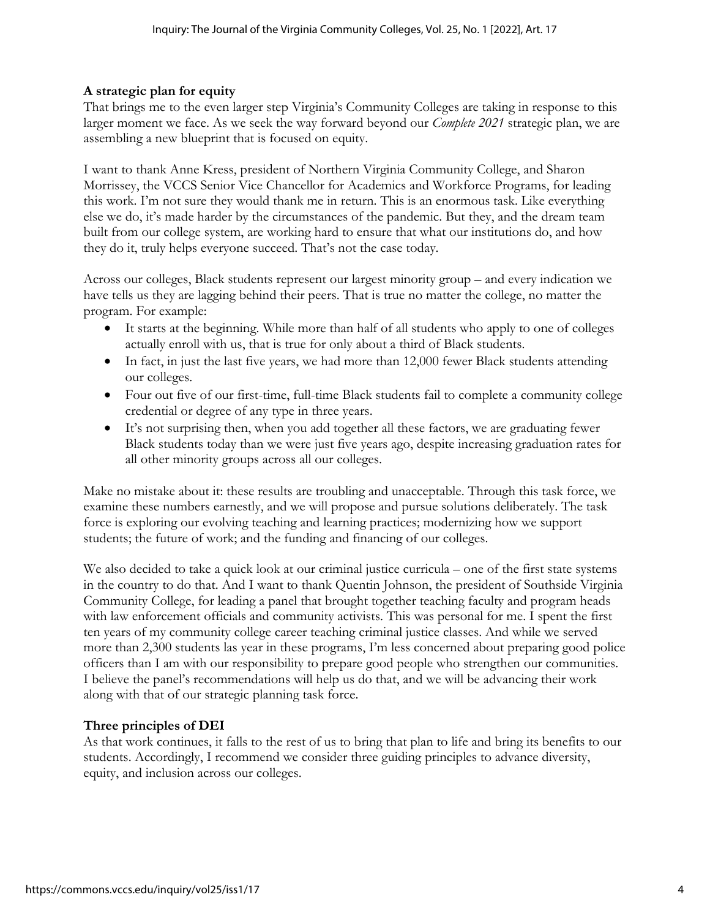### **A strategic plan for equity**

That brings me to the even larger step Virginia's Community Colleges are taking in response to this larger moment we face. As we seek the way forward beyond our *Complete 2021* strategic plan, we are assembling a new blueprint that is focused on equity.

I want to thank Anne Kress, president of Northern Virginia Community College, and Sharon Morrissey, the VCCS Senior Vice Chancellor for Academics and Workforce Programs, for leading this work. I'm not sure they would thank me in return. This is an enormous task. Like everything else we do, it's made harder by the circumstances of the pandemic. But they, and the dream team built from our college system, are working hard to ensure that what our institutions do, and how they do it, truly helps everyone succeed. That's not the case today.

Across our colleges, Black students represent our largest minority group – and every indication we have tells us they are lagging behind their peers. That is true no matter the college, no matter the program. For example:

- It starts at the beginning. While more than half of all students who apply to one of colleges actually enroll with us, that is true for only about a third of Black students.
- In fact, in just the last five years, we had more than 12,000 fewer Black students attending our colleges.
- Four out five of our first-time, full-time Black students fail to complete a community college credential or degree of any type in three years.
- It's not surprising then, when you add together all these factors, we are graduating fewer Black students today than we were just five years ago, despite increasing graduation rates for all other minority groups across all our colleges.

Make no mistake about it: these results are troubling and unacceptable. Through this task force, we examine these numbers earnestly, and we will propose and pursue solutions deliberately. The task force is exploring our evolving teaching and learning practices; modernizing how we support students; the future of work; and the funding and financing of our colleges.

We also decided to take a quick look at our criminal justice curricula – one of the first state systems in the country to do that. And I want to thank Quentin Johnson, the president of Southside Virginia Community College, for leading a panel that brought together teaching faculty and program heads with law enforcement officials and community activists. This was personal for me. I spent the first ten years of my community college career teaching criminal justice classes. And while we served more than 2,300 students las year in these programs, I'm less concerned about preparing good police officers than I am with our responsibility to prepare good people who strengthen our communities. I believe the panel's recommendations will help us do that, and we will be advancing their work along with that of our strategic planning task force.

#### **Three principles of DEI**

As that work continues, it falls to the rest of us to bring that plan to life and bring its benefits to our students. Accordingly, I recommend we consider three guiding principles to advance diversity, equity, and inclusion across our colleges.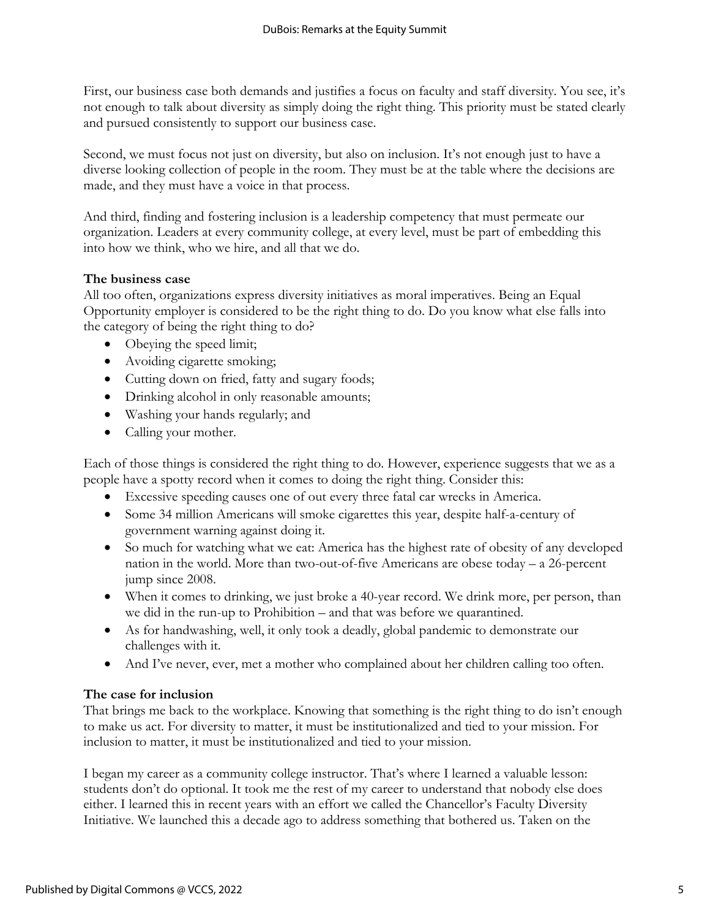First, our business case both demands and justifies a focus on faculty and staff diversity. You see, it's not enough to talk about diversity as simply doing the right thing. This priority must be stated clearly and pursued consistently to support our business case.

Second, we must focus not just on diversity, but also on inclusion. It's not enough just to have a diverse looking collection of people in the room. They must be at the table where the decisions are made, and they must have a voice in that process.

And third, finding and fostering inclusion is a leadership competency that must permeate our organization. Leaders at every community college, at every level, must be part of embedding this into how we think, who we hire, and all that we do.

### **The business case**

All too often, organizations express diversity initiatives as moral imperatives. Being an Equal Opportunity employer is considered to be the right thing to do. Do you know what else falls into the category of being the right thing to do?

- Obeying the speed limit;
- Avoiding cigarette smoking;
- Cutting down on fried, fatty and sugary foods;
- Drinking alcohol in only reasonable amounts;
- Washing your hands regularly; and
- Calling your mother.

Each of those things is considered the right thing to do. However, experience suggests that we as a people have a spotty record when it comes to doing the right thing. Consider this:

- Excessive speeding causes one of out every three fatal car wrecks in America.
- Some 34 million Americans will smoke cigarettes this year, despite half-a-century of government warning against doing it.
- So much for watching what we eat: America has the highest rate of obesity of any developed nation in the world. More than two-out-of-five Americans are obese today – a 26-percent jump since 2008.
- When it comes to drinking, we just broke a 40-year record. We drink more, per person, than we did in the run-up to Prohibition – and that was before we quarantined.
- As for handwashing, well, it only took a deadly, global pandemic to demonstrate our challenges with it.
- And I've never, ever, met a mother who complained about her children calling too often.

## **The case for inclusion**

That brings me back to the workplace. Knowing that something is the right thing to do isn't enough to make us act. For diversity to matter, it must be institutionalized and tied to your mission. For inclusion to matter, it must be institutionalized and tied to your mission.

I began my career as a community college instructor. That's where I learned a valuable lesson: students don't do optional. It took me the rest of my career to understand that nobody else does either. I learned this in recent years with an effort we called the Chancellor's Faculty Diversity Initiative. We launched this a decade ago to address something that bothered us. Taken on the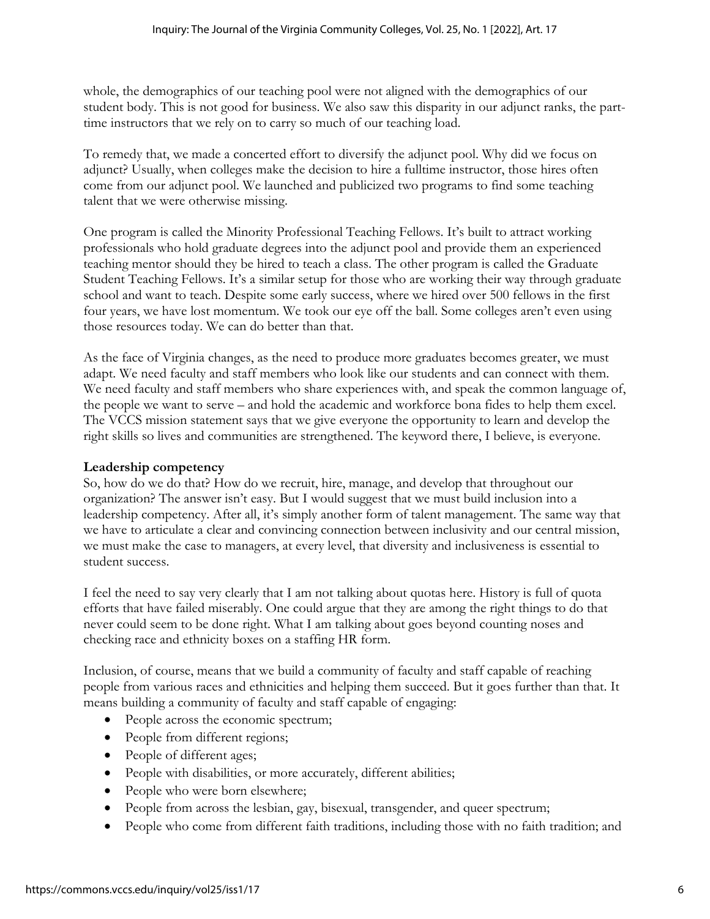whole, the demographics of our teaching pool were not aligned with the demographics of our student body. This is not good for business. We also saw this disparity in our adjunct ranks, the parttime instructors that we rely on to carry so much of our teaching load.

To remedy that, we made a concerted effort to diversify the adjunct pool. Why did we focus on adjunct? Usually, when colleges make the decision to hire a fulltime instructor, those hires often come from our adjunct pool. We launched and publicized two programs to find some teaching talent that we were otherwise missing.

One program is called the Minority Professional Teaching Fellows. It's built to attract working professionals who hold graduate degrees into the adjunct pool and provide them an experienced teaching mentor should they be hired to teach a class. The other program is called the Graduate Student Teaching Fellows. It's a similar setup for those who are working their way through graduate school and want to teach. Despite some early success, where we hired over 500 fellows in the first four years, we have lost momentum. We took our eye off the ball. Some colleges aren't even using those resources today. We can do better than that.

As the face of Virginia changes, as the need to produce more graduates becomes greater, we must adapt. We need faculty and staff members who look like our students and can connect with them. We need faculty and staff members who share experiences with, and speak the common language of, the people we want to serve – and hold the academic and workforce bona fides to help them excel. The VCCS mission statement says that we give everyone the opportunity to learn and develop the right skills so lives and communities are strengthened. The keyword there, I believe, is everyone.

### **Leadership competency**

So, how do we do that? How do we recruit, hire, manage, and develop that throughout our organization? The answer isn't easy. But I would suggest that we must build inclusion into a leadership competency. After all, it's simply another form of talent management. The same way that we have to articulate a clear and convincing connection between inclusivity and our central mission, we must make the case to managers, at every level, that diversity and inclusiveness is essential to student success.

I feel the need to say very clearly that I am not talking about quotas here. History is full of quota efforts that have failed miserably. One could argue that they are among the right things to do that never could seem to be done right. What I am talking about goes beyond counting noses and checking race and ethnicity boxes on a staffing HR form.

Inclusion, of course, means that we build a community of faculty and staff capable of reaching people from various races and ethnicities and helping them succeed. But it goes further than that. It means building a community of faculty and staff capable of engaging:

- People across the economic spectrum;
- People from different regions;
- People of different ages;
- People with disabilities, or more accurately, different abilities;
- People who were born elsewhere;
- People from across the lesbian, gay, bisexual, transgender, and queer spectrum;
- People who come from different faith traditions, including those with no faith tradition; and